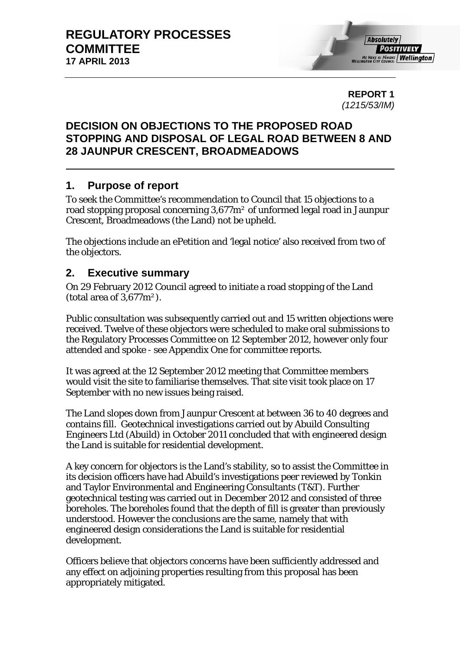**REPORT 1**  *(1215/53/IM)* 

# **DECISION ON OBJECTIONS TO THE PROPOSED ROAD STOPPING AND DISPOSAL OF LEGAL ROAD BETWEEN 8 AND 28 JAUNPUR CRESCENT, BROADMEADOWS**

# **1. Purpose of report**

To seek the Committee's recommendation to Council that 15 objections to a road stopping proposal concerning 3,677m² of unformed legal road in Jaunpur Crescent, Broadmeadows (the Land) not be upheld.

The objections include an ePetition and 'legal notice' also received from two of the objectors.

# **2. Executive summary**

On 29 February 2012 Council agreed to initiate a road stopping of the Land (total area of  $3.677 \text{m}^2$ ).

Public consultation was subsequently carried out and 15 written objections were received. Twelve of these objectors were scheduled to make oral submissions to the Regulatory Processes Committee on 12 September 2012, however only four attended and spoke - see Appendix One for committee reports.

It was agreed at the 12 September 2012 meeting that Committee members would visit the site to familiarise themselves. That site visit took place on 17 September with no new issues being raised.

The Land slopes down from Jaunpur Crescent at between 36 to 40 degrees and contains fill. Geotechnical investigations carried out by Abuild Consulting Engineers Ltd (Abuild) in October 2011 concluded that with engineered design the Land is suitable for residential development.

A key concern for objectors is the Land's stability, so to assist the Committee in its decision officers have had Abuild's investigations peer reviewed by Tonkin and Taylor Environmental and Engineering Consultants (T&T). Further geotechnical testing was carried out in December 2012 and consisted of three boreholes. The boreholes found that the depth of fill is greater than previously understood. However the conclusions are the same, namely that with engineered design considerations the Land is suitable for residential development.

Officers believe that objectors concerns have been sufficiently addressed and any effect on adjoining properties resulting from this proposal has been appropriately mitigated.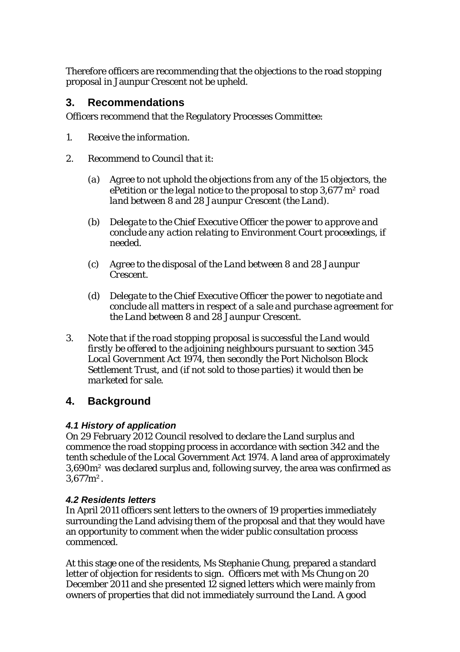Therefore officers are recommending that the objections to the road stopping proposal in Jaunpur Crescent not be upheld.

# **3. Recommendations**

Officers recommend that the Regulatory Processes Committee:

- *1. Receive the information.*
- *2. Recommend to Council that it:* 
	- *(a) Agree to not uphold the objections from any of the 15 objectors, the ePetition or the legal notice to the proposal to stop 3,677 m² road land between 8 and 28 Jaunpur Crescent (the Land).*
	- *(b) Delegate to the Chief Executive Officer the power to approve and conclude any action relating to Environment Court proceedings, if needed.*
	- *(c) Agree to the disposal of the Land between 8 and 28 Jaunpur Crescent.*
	- *(d) Delegate to the Chief Executive Officer the power to negotiate and conclude all matters in respect of a sale and purchase agreement for the Land between 8 and 28 Jaunpur Crescent.*
- *3. Note that if the road stopping proposal is successful the Land would firstly be offered to the adjoining neighbours pursuant to section 345 Local Government Act 1974, then secondly the Port Nicholson Block Settlement Trust, and (if not sold to those parties) it would then be marketed for sale.*

# **4. Background**

## *4.1 History of application*

On 29 February 2012 Council resolved to declare the Land surplus and commence the road stopping process in accordance with section 342 and the tenth schedule of the Local Government Act 1974. A land area of approximately 3,690m² was declared surplus and, following survey, the area was confirmed as 3,677m².

## *4.2 Residents letters*

In April 2011 officers sent letters to the owners of 19 properties immediately surrounding the Land advising them of the proposal and that they would have an opportunity to comment when the wider public consultation process commenced.

At this stage one of the residents, Ms Stephanie Chung, prepared a standard letter of objection for residents to sign. Officers met with Ms Chung on 20 December 2011 and she presented 12 signed letters which were mainly from owners of properties that did not immediately surround the Land. A good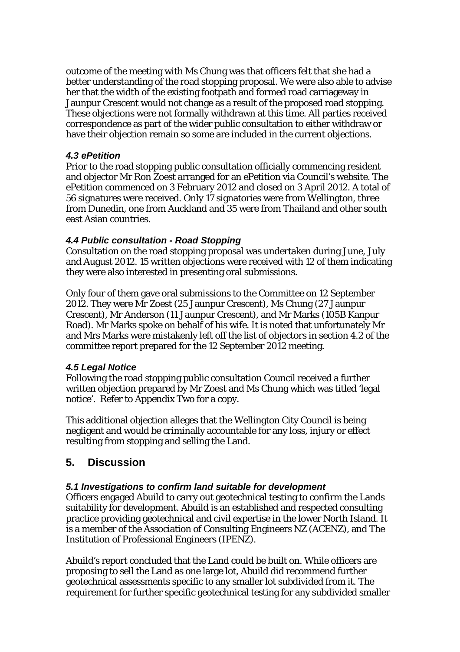outcome of the meeting with Ms Chung was that officers felt that she had a better understanding of the road stopping proposal. We were also able to advise her that the width of the existing footpath and formed road carriageway in Jaunpur Crescent would not change as a result of the proposed road stopping. These objections were not formally withdrawn at this time. All parties received correspondence as part of the wider public consultation to either withdraw or have their objection remain so some are included in the current objections.

#### *4.3 ePetition*

Prior to the road stopping public consultation officially commencing resident and objector Mr Ron Zoest arranged for an ePetition via Council's website. The ePetition commenced on 3 February 2012 and closed on 3 April 2012. A total of 56 signatures were received. Only 17 signatories were from Wellington, three from Dunedin, one from Auckland and 35 were from Thailand and other south east Asian countries.

## *4.4 Public consultation - Road Stopping*

Consultation on the road stopping proposal was undertaken during June, July and August 2012. 15 written objections were received with 12 of them indicating they were also interested in presenting oral submissions.

Only four of them gave oral submissions to the Committee on 12 September 2012. They were Mr Zoest (25 Jaunpur Crescent), Ms Chung (27 Jaunpur Crescent), Mr Anderson (11 Jaunpur Crescent), and Mr Marks (105B Kanpur Road). Mr Marks spoke on behalf of his wife. It is noted that unfortunately Mr and Mrs Marks were mistakenly left off the list of objectors in section 4.2 of the committee report prepared for the 12 September 2012 meeting.

## *4.5 Legal Notice*

Following the road stopping public consultation Council received a further written objection prepared by Mr Zoest and Ms Chung which was titled 'legal notice'. Refer to Appendix Two for a copy.

This additional objection alleges that the Wellington City Council is being negligent and would be criminally accountable for any loss, injury or effect resulting from stopping and selling the Land.

# **5. Discussion**

## *5.1 Investigations to confirm land suitable for development*

Officers engaged Abuild to carry out geotechnical testing to confirm the Lands suitability for development. Abuild is an established and respected consulting practice providing geotechnical and civil expertise in the lower North Island. It is a member of the Association of Consulting Engineers NZ (ACENZ), and The Institution of Professional Engineers (IPENZ).

Abuild's report concluded that the Land could be built on. While officers are proposing to sell the Land as one large lot, Abuild did recommend further geotechnical assessments specific to any smaller lot subdivided from it. The requirement for further specific geotechnical testing for any subdivided smaller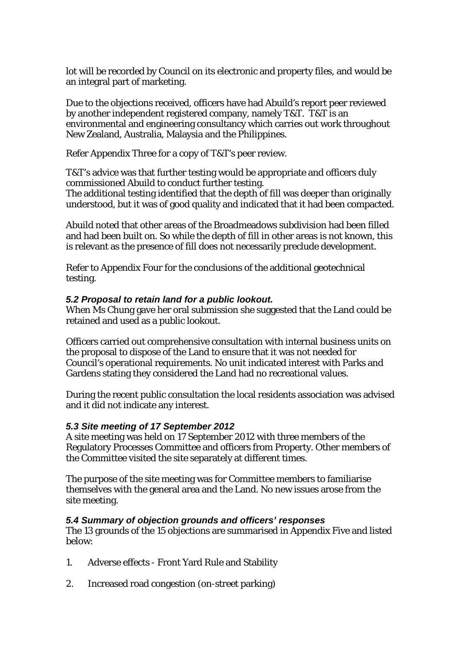lot will be recorded by Council on its electronic and property files, and would be an integral part of marketing.

Due to the objections received, officers have had Abuild's report peer reviewed by another independent registered company, namely T&T. T&T is an environmental and engineering consultancy which carries out work throughout New Zealand, Australia, Malaysia and the Philippines.

Refer Appendix Three for a copy of T&T's peer review.

T&T's advice was that further testing would be appropriate and officers duly commissioned Abuild to conduct further testing. The additional testing identified that the depth of fill was deeper than originally understood, but it was of good quality and indicated that it had been compacted.

Abuild noted that other areas of the Broadmeadows subdivision had been filled and had been built on. So while the depth of fill in other areas is not known, this is relevant as the presence of fill does not necessarily preclude development.

Refer to Appendix Four for the conclusions of the additional geotechnical testing.

#### *5.2 Proposal to retain land for a public lookout.*

When Ms Chung gave her oral submission she suggested that the Land could be retained and used as a public lookout.

Officers carried out comprehensive consultation with internal business units on the proposal to dispose of the Land to ensure that it was not needed for Council's operational requirements. No unit indicated interest with Parks and Gardens stating they considered the Land had no recreational values.

During the recent public consultation the local residents association was advised and it did not indicate any interest.

#### *5.3 Site meeting of 17 September 2012*

A site meeting was held on 17 September 2012 with three members of the Regulatory Processes Committee and officers from Property. Other members of the Committee visited the site separately at different times.

The purpose of the site meeting was for Committee members to familiarise themselves with the general area and the Land. No new issues arose from the site meeting.

#### *5.4 Summary of objection grounds and officers' responses*

The 13 grounds of the 15 objections are summarised in Appendix Five and listed below:

- 1. Adverse effects Front Yard Rule and Stability
- 2. Increased road congestion (on-street parking)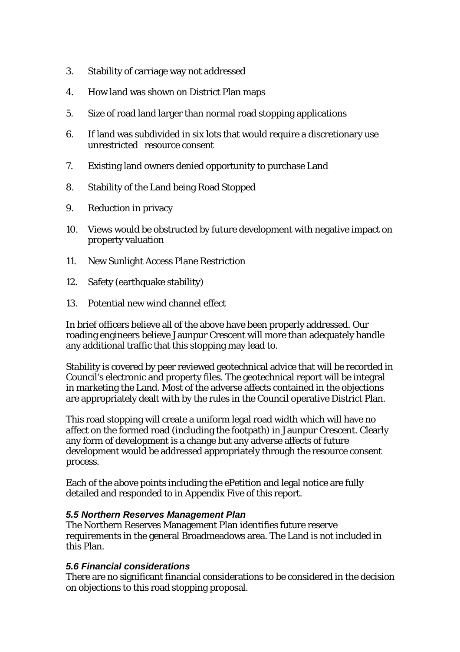- 3. Stability of carriage way not addressed
- 4. How land was shown on District Plan maps
- 5. Size of road land larger than normal road stopping applications
- 6. If land was subdivided in six lots that would require a discretionary use unrestricted resource consent
- 7. Existing land owners denied opportunity to purchase Land
- 8. Stability of the Land being Road Stopped
- 9. Reduction in privacy
- 10. Views would be obstructed by future development with negative impact on property valuation
- 11. New Sunlight Access Plane Restriction
- 12. Safety (earthquake stability)
- 13. Potential new wind channel effect

In brief officers believe all of the above have been properly addressed. Our roading engineers believe Jaunpur Crescent will more than adequately handle any additional traffic that this stopping may lead to.

Stability is covered by peer reviewed geotechnical advice that will be recorded in Council's electronic and property files. The geotechnical report will be integral in marketing the Land. Most of the adverse affects contained in the objections are appropriately dealt with by the rules in the Council operative District Plan.

This road stopping will create a uniform legal road width which will have no affect on the formed road (including the footpath) in Jaunpur Crescent. Clearly any form of development is a change but any adverse affects of future development would be addressed appropriately through the resource consent process.

Each of the above points including the ePetition and legal notice are fully detailed and responded to in Appendix Five of this report.

#### *5.5 Northern Reserves Management Plan*

The Northern Reserves Management Plan identifies future reserve requirements in the general Broadmeadows area. The Land is not included in this Plan.

#### *5.6 Financial considerations*

There are no significant financial considerations to be considered in the decision on objections to this road stopping proposal.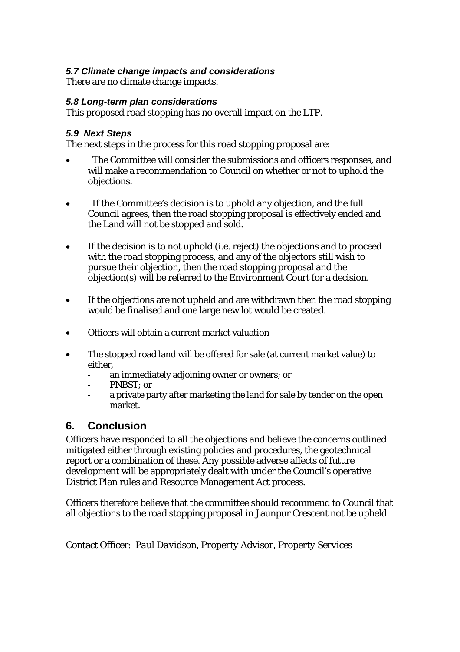## *5.7 Climate change impacts and considerations*

There are no climate change impacts.

#### *5.8 Long-term plan considerations*

This proposed road stopping has no overall impact on the LTP.

#### *5.9 Next Steps*

The next steps in the process for this road stopping proposal are:

- The Committee will consider the submissions and officers responses, and will make a recommendation to Council on whether or not to uphold the objections.
- If the Committee's decision is to uphold any objection, and the full Council agrees, then the road stopping proposal is effectively ended and the Land will not be stopped and sold.
- If the decision is to not uphold (i.e. reject) the objections and to proceed with the road stopping process, and any of the objectors still wish to pursue their objection, then the road stopping proposal and the objection(s) will be referred to the Environment Court for a decision.
- If the objections are not upheld and are withdrawn then the road stopping would be finalised and one large new lot would be created.
- Officers will obtain a current market valuation
- The stopped road land will be offered for sale (at current market value) to either,
	- an immediately adjoining owner or owners; or
	- PNBST: or
	- a private party after marketing the land for sale by tender on the open market.

# **6. Conclusion**

Officers have responded to all the objections and believe the concerns outlined mitigated either through existing policies and procedures, the geotechnical report or a combination of these. Any possible adverse affects of future development will be appropriately dealt with under the Council's operative District Plan rules and Resource Management Act process.

Officers therefore believe that the committee should recommend to Council that all objections to the road stopping proposal in Jaunpur Crescent not be upheld.

Contact Officer: *Paul Davidson, Property Advisor, Property Services*